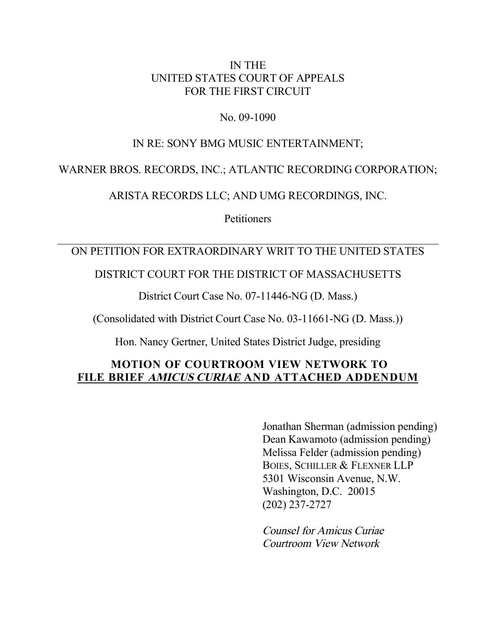#### IN THE UNITED STATES COURT OF APPEALS FOR THE FIRST CIRCUIT

#### No. 09-1090

### IN RE: SONY BMG MUSIC ENTERTAINMENT;

# WARNER BROS. RECORDS, INC.; ATLANTIC RECORDING CORPORATION;

ARISTA RECORDS LLC; AND UMG RECORDINGS, INC.

**Petitioners** 

# ON PETITION FOR EXTRAORDINARY WRIT TO THE UNITED STATES

# DISTRICT COURT FOR THE DISTRICT OF MASSACHUSETTS

District Court Case No. 07-11446-NG (D. Mass.)

(Consolidated with District Court Case No. 03-11661-NG (D. Mass.))

Hon. Nancy Gertner, United States District Judge, presiding

# **MOTION OF COURTROOM VIEW NETWORK TO FILE BRIEF AMICUS CURIAE AND ATTACHED ADDENDUM**

Jonathan Sherman (admission pending) Dean Kawamoto (admission pending) Melissa Felder (admission pending) BOIES, SCHILLER & FLEXNER LLP 5301 Wisconsin Avenue, N.W. Washington, D.C. 20015 (202) 237-2727

Counsel for Amicus Curiae Courtroom View Network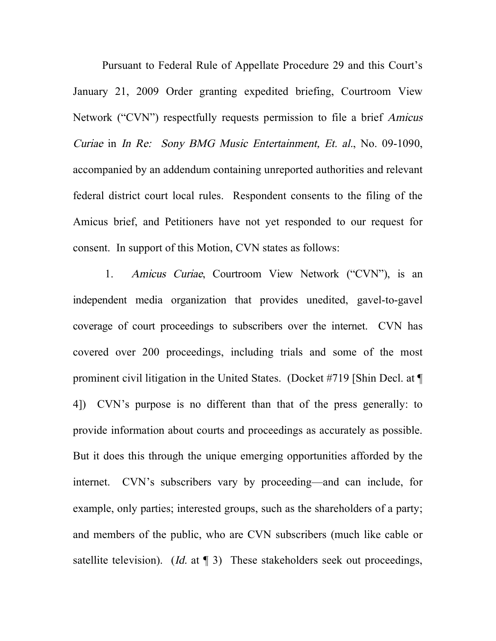Pursuant to Federal Rule of Appellate Procedure 29 and this Court's January 21, 2009 Order granting expedited briefing, Courtroom View Network ("CVN") respectfully requests permission to file a brief Amicus Curiae in In Re: Sony BMG Music Entertainment, Et. al., No. 09-1090, accompanied by an addendum containing unreported authorities and relevant federal district court local rules. Respondent consents to the filing of the Amicus brief, and Petitioners have not yet responded to our request for consent. In support of this Motion, CVN states as follows:

1. Amicus Curiae, Courtroom View Network ("CVN"), is an independent media organization that provides unedited, gavel-to-gavel coverage of court proceedings to subscribers over the internet. CVN has covered over 200 proceedings, including trials and some of the most prominent civil litigation in the United States. (Docket #719 [Shin Decl. at ¶ 4]) CVN's purpose is no different than that of the press generally: to provide information about courts and proceedings as accurately as possible. But it does this through the unique emerging opportunities afforded by the internet. CVN's subscribers vary by proceeding—and can include, for example, only parties; interested groups, such as the shareholders of a party; and members of the public, who are CVN subscribers (much like cable or satellite television). (*Id.* at  $\P$  3) These stakeholders seek out proceedings,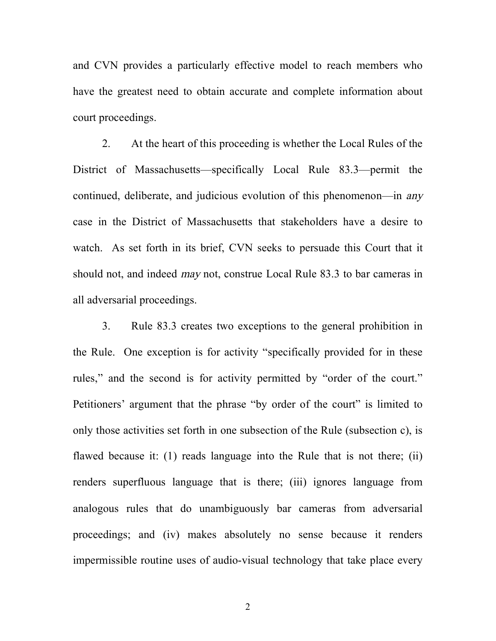and CVN provides a particularly effective model to reach members who have the greatest need to obtain accurate and complete information about court proceedings.

2. At the heart of this proceeding is whether the Local Rules of the District of Massachusetts—specifically Local Rule 83.3—permit the continued, deliberate, and judicious evolution of this phenomenon—in any case in the District of Massachusetts that stakeholders have a desire to watch. As set forth in its brief, CVN seeks to persuade this Court that it should not, and indeed may not, construe Local Rule 83.3 to bar cameras in all adversarial proceedings.

3. Rule 83.3 creates two exceptions to the general prohibition in the Rule. One exception is for activity "specifically provided for in these rules," and the second is for activity permitted by "order of the court." Petitioners' argument that the phrase "by order of the court" is limited to only those activities set forth in one subsection of the Rule (subsection c), is flawed because it: (1) reads language into the Rule that is not there; (ii) renders superfluous language that is there; (iii) ignores language from analogous rules that do unambiguously bar cameras from adversarial proceedings; and (iv) makes absolutely no sense because it renders impermissible routine uses of audio-visual technology that take place every

2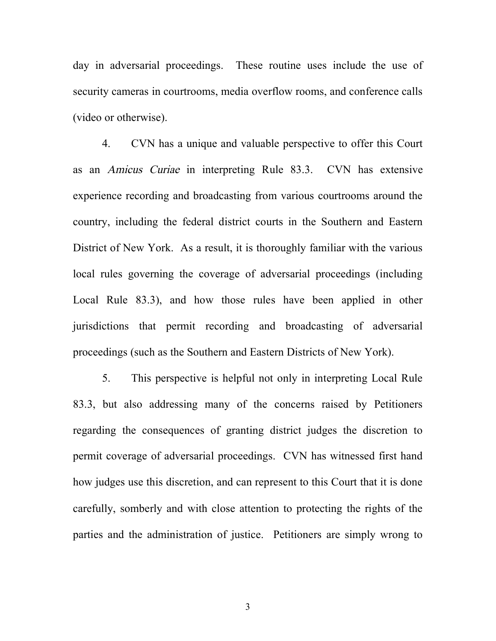day in adversarial proceedings. These routine uses include the use of security cameras in courtrooms, media overflow rooms, and conference calls (video or otherwise).

4. CVN has a unique and valuable perspective to offer this Court as an Amicus Curiae in interpreting Rule 83.3. CVN has extensive experience recording and broadcasting from various courtrooms around the country, including the federal district courts in the Southern and Eastern District of New York. As a result, it is thoroughly familiar with the various local rules governing the coverage of adversarial proceedings (including Local Rule 83.3), and how those rules have been applied in other jurisdictions that permit recording and broadcasting of adversarial proceedings (such as the Southern and Eastern Districts of New York).

5. This perspective is helpful not only in interpreting Local Rule 83.3, but also addressing many of the concerns raised by Petitioners regarding the consequences of granting district judges the discretion to permit coverage of adversarial proceedings. CVN has witnessed first hand how judges use this discretion, and can represent to this Court that it is done carefully, somberly and with close attention to protecting the rights of the parties and the administration of justice. Petitioners are simply wrong to

3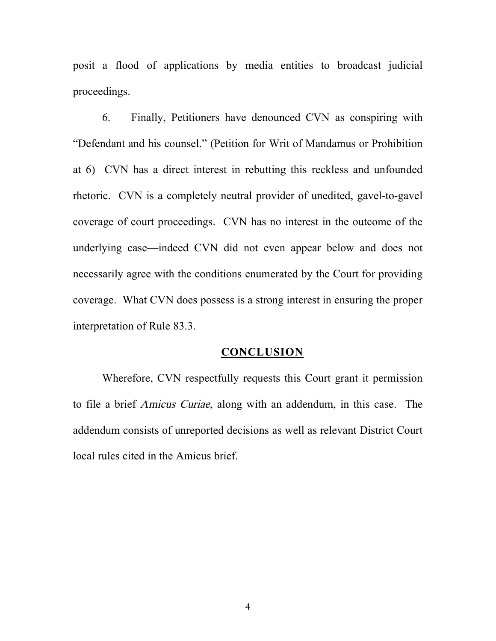posit a flood of applications by media entities to broadcast judicial proceedings.

6. Finally, Petitioners have denounced CVN as conspiring with "Defendant and his counsel." (Petition for Writ of Mandamus or Prohibition at 6) CVN has a direct interest in rebutting this reckless and unfounded rhetoric. CVN is a completely neutral provider of unedited, gavel-to-gavel coverage of court proceedings. CVN has no interest in the outcome of the underlying case—indeed CVN did not even appear below and does not necessarily agree with the conditions enumerated by the Court for providing coverage. What CVN does possess is a strong interest in ensuring the proper interpretation of Rule 83.3.

#### **CONCLUSION**

Wherefore, CVN respectfully requests this Court grant it permission to file a brief Amicus Curiae, along with an addendum, in this case. The addendum consists of unreported decisions as well as relevant District Court local rules cited in the Amicus brief.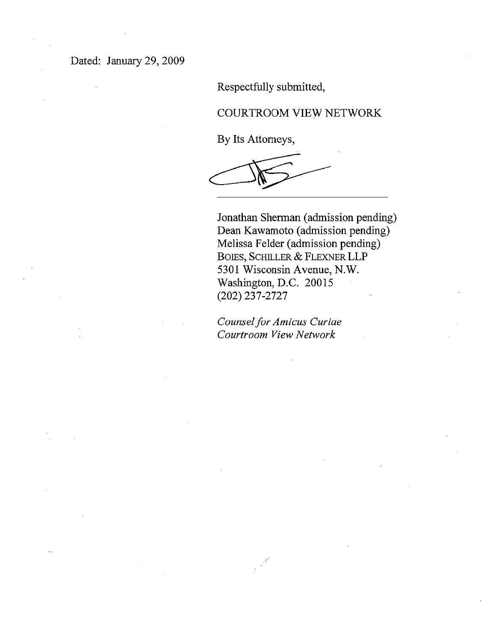Respectfully submitted,

#### COURTROOM VIEW NETWORK

By Its Attorneys,

Jonathan Sherman (admission pending) Dean Kawamoto (admission pending) Melissa Felder (admission pending) BOIES, SCHILLER & FLEXNER LLP 5301 Wisconsin Avenue, N.W. Washington, D.C. 20015  $(202)$  237-2727

Counsel for Amicus Curiae Courtroom View Network